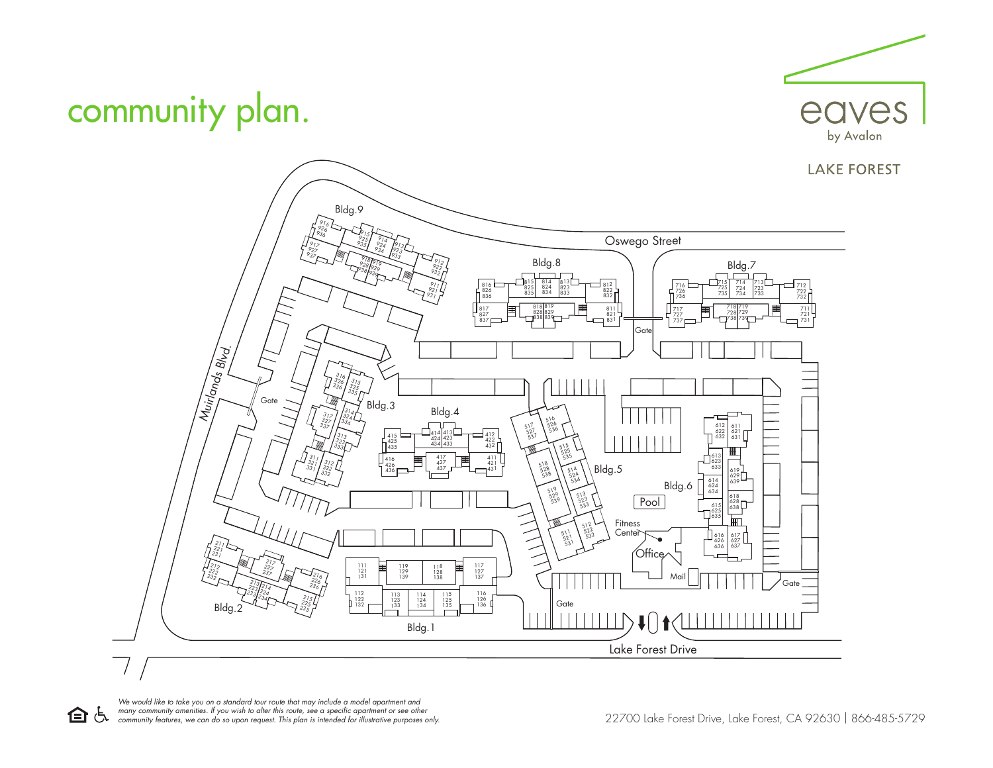

## community plan.